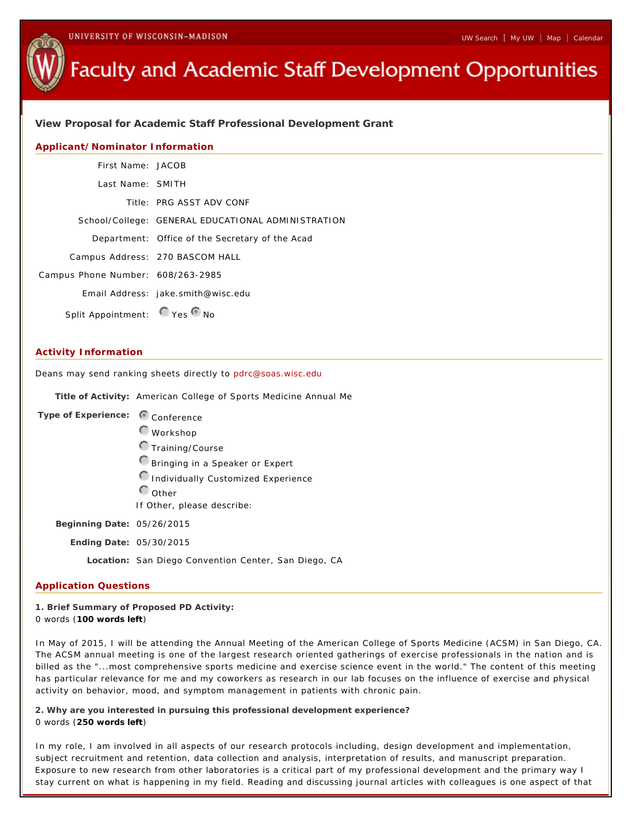# **Faculty and Academic Staff Development Opportunities**

**View Proposal for Academic Staff Professional Development Grant**

## **Applicant/Nominator Information**

| First Name: JACOB                 |                                                    |
|-----------------------------------|----------------------------------------------------|
| Last Name: SMITH                  |                                                    |
|                                   | Title: PRG ASST ADV CONF                           |
|                                   | School/College: GENERAL EDUCATIONAL ADMINISTRATION |
|                                   | Department: Office of the Secretary of the Acad    |
|                                   | Campus Address: 270 BASCOM HALL                    |
| Campus Phone Number: 608/263-2985 |                                                    |
|                                   | Email Address: jake.smith@wisc.edu                 |
| Split Appointment: Ves ONo        |                                                    |

### **Activity Information**

Deans may send ranking sheets directly to pdrc@soas.wisc.edu

Title of Activity: American College of Sports Medicine Annual Me

| Type of Experience:        | Conference                                           |
|----------------------------|------------------------------------------------------|
|                            | $\bigcirc$ Workshop                                  |
|                            | <b>O</b> Training/Course                             |
|                            | Bringing in a Speaker or Expert                      |
|                            | Individually Customized Experience                   |
|                            | $\mathbb{C}_{\text{Other}}$                          |
|                            | If Other, please describe:                           |
| Beginning Date: 05/26/2015 |                                                      |
| Ending Date: 05/30/2015    |                                                      |
|                            | Location: San Diego Convention Center, San Diego, CA |
|                            |                                                      |

#### **Application Questions**

**1. Brief Summary of Proposed PD Activity:** 0 words (**100 words left**)

In May of 2015, I will be attending the Annual Meeting of the American College of Sports Medicine (ACSM) in San Diego, CA. The ACSM annual meeting is one of the largest research oriented gatherings of exercise professionals in the nation and is billed as the "...most comprehensive sports medicine and exercise science event in the world." The content of this meeting has particular relevance for me and my coworkers as research in our lab focuses on the influence of exercise and physical activity on behavior, mood, and symptom management in patients with chronic pain.

**2. Why are you interested in pursuing this professional development experience?** 0 words (**250 words left**)

In my role, I am involved in all aspects of our research protocols including, design development and implementation, subject recruitment and retention, data collection and analysis, interpretation of results, and manuscript preparation. Exposure to new research from other laboratories is a critical part of my professional development and the primary way I stay current on what is happening in my field. Reading and discussing journal articles with colleagues is one aspect of that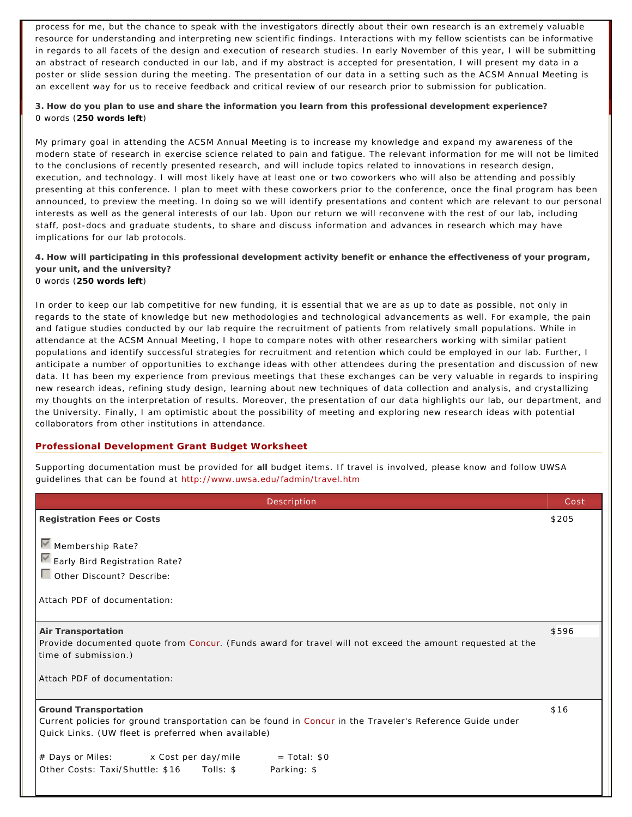process for me, but the chance to speak with the investigators directly about their own research is an extremely valuable resource for understanding and interpreting new scientific findings. Interactions with my fellow scientists can be informative in regards to all facets of the design and execution of research studies. In early November of this year, I will be submitting an abstract of research conducted in our lab, and if my abstract is accepted for presentation, I will present my data in a poster or slide session during the meeting. The presentation of our data in a setting such as the ACSM Annual Meeting is an excellent way for us to receive feedback and critical review of our research prior to submission for publication.

**3. How do you plan to use and share the information you learn from this professional development experience?** 0 words (**250 words left**)

My primary goal in attending the ACSM Annual Meeting is to increase my knowledge and expand my awareness of the modern state of research in exercise science related to pain and fatigue. The relevant information for me will not be limited to the conclusions of recently presented research, and will include topics related to innovations in research design, execution, and technology. I will most likely have at least one or two coworkers who will also be attending and possibly presenting at this conference. I plan to meet with these coworkers prior to the conference, once the final program has been announced, to preview the meeting. In doing so we will identify presentations and content which are relevant to our personal interests as well as the general interests of our lab. Upon our return we will reconvene with the rest of our lab, including staff, post-docs and graduate students, to share and discuss information and advances in research which may have implications for our lab protocols.

**4. How will participating in this professional development activity benefit or enhance the effectiveness of your program, your unit, and the university?** 0 words (**250 words left**)

In order to keep our lab competitive for new funding, it is essential that we are as up to date as possible, not only in regards to the state of knowledge but new methodologies and technological advancements as well. For example, the pain and fatigue studies conducted by our lab require the recruitment of patients from relatively small populations. While in attendance at the ACSM Annual Meeting, I hope to compare notes with other researchers working with similar patient populations and identify successful strategies for recruitment and retention which could be employed in our lab. Further, I anticipate a number of opportunities to exchange ideas with other attendees during the presentation and discussion of new data. It has been my experience from previous meetings that these exchanges can be very valuable in regards to inspiring new research ideas, refining study design, learning about new techniques of data collection and analysis, and crystallizing my thoughts on the interpretation of results. Moreover, the presentation of our data highlights our lab, our department, and the University. Finally, I am optimistic about the possibility of meeting and exploring new research ideas with potential collaborators from other institutions in attendance.

## **Professional Development Grant Budget Worksheet**

Supporting documentation must be provided for **all** budget items. If travel is involved, please know and follow UWSA guidelines that can be found at http://www.uwsa.edu/fadmin/travel.htm

| Description                                                                                               | Cost  |  |
|-----------------------------------------------------------------------------------------------------------|-------|--|
| Registration Fees or Costs                                                                                | \$205 |  |
| Membership Rate?                                                                                          |       |  |
| Early Bird Registration Rate?                                                                             |       |  |
| Other Discount? Describe:                                                                                 |       |  |
|                                                                                                           |       |  |
| Attach PDF of documentation:                                                                              |       |  |
|                                                                                                           |       |  |
| Air Transportation                                                                                        | \$596 |  |
| Provide documented quote from Concur. (Funds award for travel will not exceed the amount requested at the |       |  |
| time of submission.)                                                                                      |       |  |
| Attach PDF of documentation:                                                                              |       |  |
|                                                                                                           |       |  |
| Ground Transportation                                                                                     | \$16  |  |
| Current policies for ground transportation can be found in Concur in the Traveler's Reference Guide under |       |  |
| Quick Links. (UW fleet is preferred when available)                                                       |       |  |
| # Days or Miles: x Cost per day/mile<br>$=$ Total: $$0$                                                   |       |  |
| Parking: \$                                                                                               |       |  |
|                                                                                                           |       |  |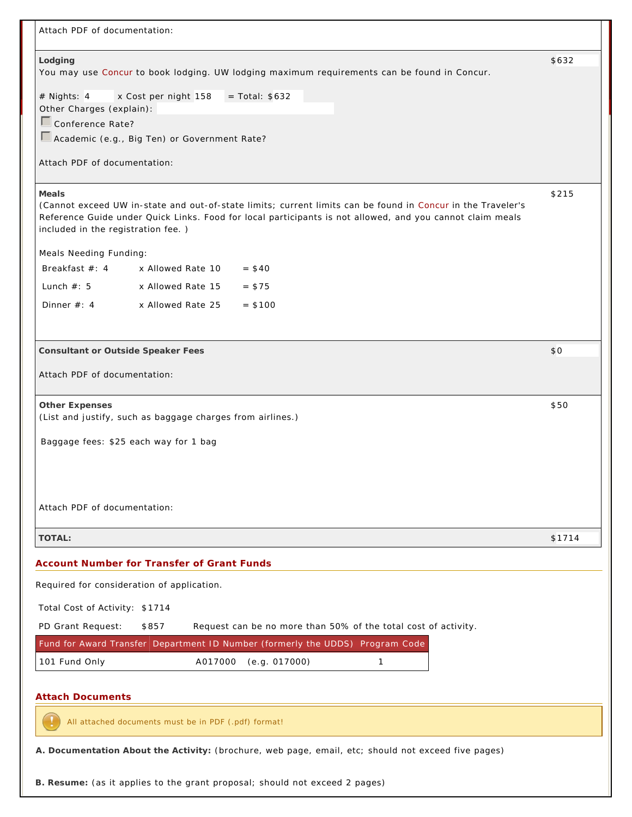| Attach PDF of documentation:                                                                                                                                                                                                                                            |        |
|-------------------------------------------------------------------------------------------------------------------------------------------------------------------------------------------------------------------------------------------------------------------------|--------|
| Lodging                                                                                                                                                                                                                                                                 | \$632  |
| You may use Concur to book lodging. UW lodging maximum requirements can be found in Concur.                                                                                                                                                                             |        |
| # Nights: 4<br>$=$ Total: $$632$<br>x Cost per night 158<br>Other Charges (explain):                                                                                                                                                                                    |        |
| Conference Rate?                                                                                                                                                                                                                                                        |        |
| Academic (e.g., Big Ten) or Government Rate?                                                                                                                                                                                                                            |        |
| Attach PDF of documentation:                                                                                                                                                                                                                                            |        |
| Meals<br>(Cannot exceed UW in-state and out-of-state limits; current limits can be found in Concur in the Traveler's<br>Reference Guide under Quick Links. Food for local participants is not allowed, and you cannot claim meals<br>included in the registration fee.) | \$215  |
| Meals Needing Funding:                                                                                                                                                                                                                                                  |        |
| Breakfast $#: 4$<br>x Allowed Rate 10<br>$= $40$                                                                                                                                                                                                                        |        |
| Lunch $#: 5$<br>x Allowed Rate 15<br>$= $75$                                                                                                                                                                                                                            |        |
| Dinner $#: 4$<br>x Allowed Rate 25<br>$= $100$                                                                                                                                                                                                                          |        |
| Consultant or Outside Speaker Fees                                                                                                                                                                                                                                      | \$0    |
| Attach PDF of documentation:                                                                                                                                                                                                                                            |        |
| Other Expenses<br>(List and justify, such as baggage charges from airlines.)                                                                                                                                                                                            | \$50   |
| Baggage fees: \$25 each way for 1 bag                                                                                                                                                                                                                                   |        |
|                                                                                                                                                                                                                                                                         |        |
| Attach PDF of documentation:                                                                                                                                                                                                                                            |        |
| TOTAL:                                                                                                                                                                                                                                                                  | \$1714 |
| Account Number for Transfer of Grant Funds                                                                                                                                                                                                                              |        |
| Required for consideration of application.                                                                                                                                                                                                                              |        |
| Total Cost of Activity: \$1714                                                                                                                                                                                                                                          |        |
| PD Grant Request:<br>\$857<br>Request can be no more than 50% of the total cost of activity.                                                                                                                                                                            |        |
| Fund for Award Transfer Department ID Number (formerly the UDDS) Program Code                                                                                                                                                                                           |        |
| 101 Fund Only<br>A017000<br>(e.g. 017000)<br>$\mathbf{1}$                                                                                                                                                                                                               |        |
| <b>Attach Documents</b>                                                                                                                                                                                                                                                 |        |
| All attached documents must be in PDF (.pdf) format!                                                                                                                                                                                                                    |        |
| A. Documentation About the Activity: (brochure, web page, email, etc; should not exceed five pages)                                                                                                                                                                     |        |
| B. Resume: (as it applies to the grant proposal; should not exceed 2 pages)                                                                                                                                                                                             |        |